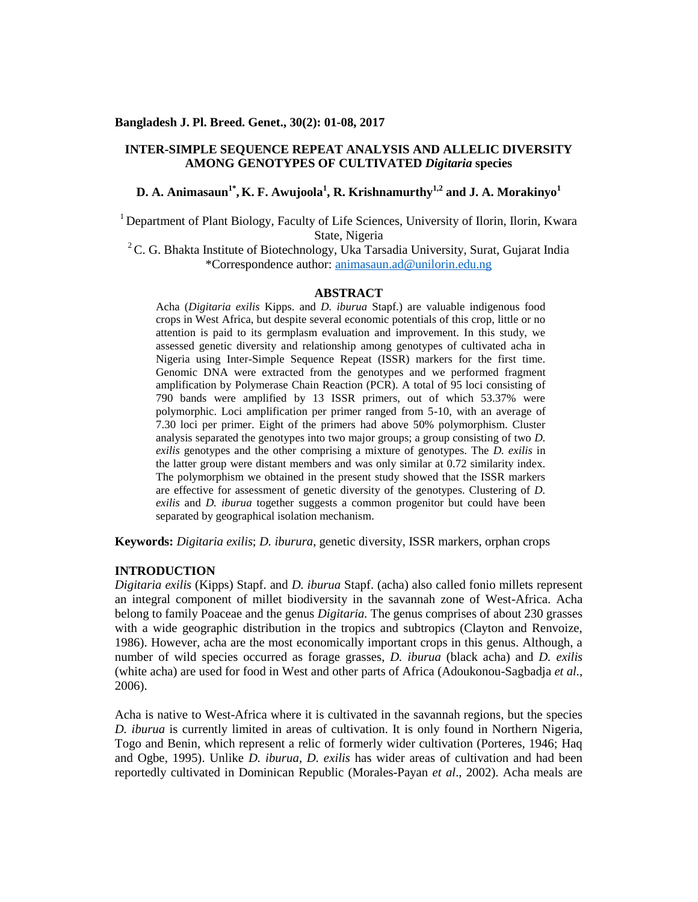#### **Bangladesh J. Pl. Breed. Genet., 30(2): 01-08, 2017**

## **INTER-SIMPLE SEQUENCE REPEAT ANALYSIS AND ALLELIC DIVERSITY AMONG GENOTYPES OF CULTIVATED** *Digitaria* **species**

## **D. A. Animasaun1\* , K. F. Awujoola<sup>1</sup> , R. Krishnamurthy1,2 and J. A.Morakinyo<sup>1</sup>**

<sup>1</sup> Department of Plant Biology, Faculty of Life Sciences, University of Ilorin, Ilorin, Kwara State, Nigeria

<sup>2</sup>C. G. Bhakta Institute of Biotechnology, Uka Tarsadia University, Surat, Gujarat India \*Correspondence author: animasaun.ad@unilorin.edu.ng

#### **ABSTRACT**

Acha (*Digitaria exilis* Kipps. and *D. iburua* Stapf.) are valuable indigenous food crops in West Africa, but despite several economic potentials of this crop, little or no attention is paid to its germplasm evaluation and improvement. In this study, we assessed genetic diversity and relationship among genotypes of cultivated acha in Nigeria using Inter-Simple Sequence Repeat (ISSR) markers for the first time. Genomic DNA were extracted from the genotypes and we performed fragment amplification by Polymerase Chain Reaction (PCR). A total of 95 loci consisting of 790 bands were amplified by 13 ISSR primers, out of which 53.37% were polymorphic. Loci amplification per primer ranged from 5-10, with an average of 7.30 loci per primer. Eight of the primers had above 50% polymorphism. Cluster analysis separated the genotypes into two major groups; a group consisting of two *D. exilis* genotypes and the other comprising a mixture of genotypes. The *D. exilis* in the latter group were distant members and was only similar at 0.72 similarity index. The polymorphism we obtained in the present study showed that the ISSR markers are effective for assessment of genetic diversity of the genotypes. Clustering of *D. exilis* and *D. iburua* together suggests a common progenitor but could have been separated by geographical isolation mechanism.

**Keywords:** *Digitaria exilis*; *D. iburura*, genetic diversity, ISSR markers, orphan crops

## **INTRODUCTION**

*Digitaria exilis* (Kipps) Stapf. and *D. iburua* Stapf. (acha) also called fonio millets represent an integral component of millet biodiversity in the savannah zone of West-Africa. Acha belong to family Poaceae and the genus *Digitaria.* The genus comprises of about 230 grasses with a wide geographic distribution in the tropics and subtropics (Clayton and Renvoize, 1986). However, acha are the most economically important crops in this genus. Although, a number of wild species occurred as forage grasses, *D. iburua* (black acha) and *D. exilis* (white acha) are used for food in West and other parts of Africa (Adoukonou-Sagbadja *et al.,* 2006).

Acha is native to West-Africa where it is cultivated in the savannah regions, but the species *D. iburua* is currently limited in areas of cultivation. It is only found in Northern Nigeria, Togo and Benin, which represent a relic of formerly wider cultivation (Porteres, 1946; Haq and Ogbe, 1995). Unlike *D. iburua*, *D. exilis* has wider areas of cultivation and had been reportedly cultivated in Dominican Republic (Morales-Payan *et al*., 2002). Acha meals are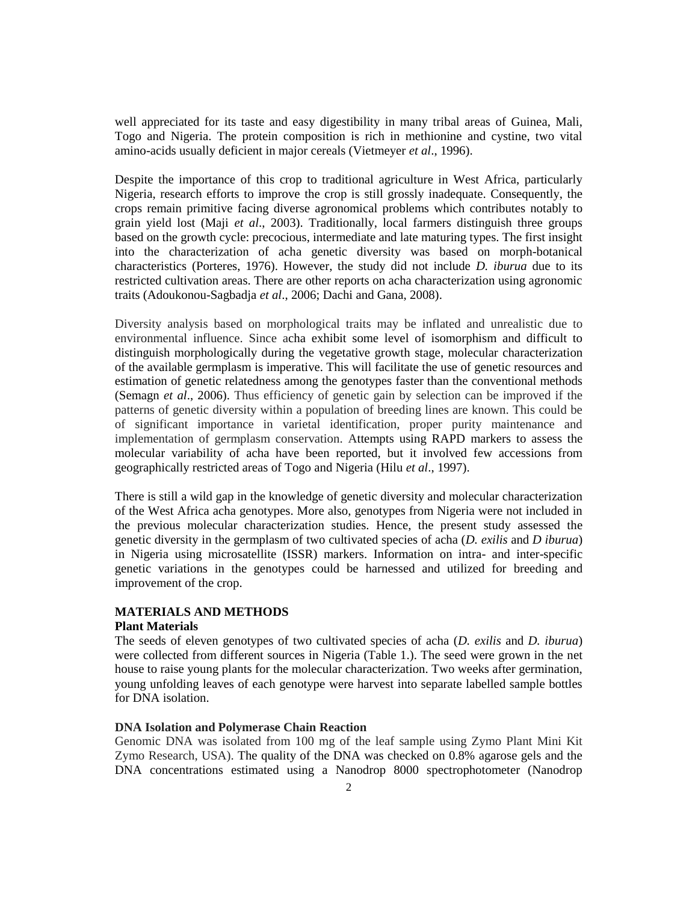well appreciated for its taste and easy digestibility in many tribal areas of Guinea, Mali, Togo and Nigeria. The protein composition is rich in methionine and cystine, two vital amino-acids usually deficient in major cereals (Vietmeyer *et al*., 1996).

Despite the importance of this crop to traditional agriculture in West Africa, particularly Nigeria, research efforts to improve the crop is still grossly inadequate. Consequently, the crops remain primitive facing diverse agronomical problems which contributes notably to grain yield lost (Maji *et al*., 2003). Traditionally, local farmers distinguish three groups based on the growth cycle: precocious, intermediate and late maturing types. The first insight into the characterization of acha genetic diversity was based on morph-botanical characteristics (Porteres, 1976). However, the study did not include *D. iburua* due to its restricted cultivation areas. There are other reports on acha characterization using agronomic traits (Adoukonou-Sagbadja *et al*., 2006; Dachi and Gana, 2008).

Diversity analysis based on morphological traits may be inflated and unrealistic due to environmental influence. Since acha exhibit some level of isomorphism and difficult to distinguish morphologically during the vegetative growth stage, molecular characterization of the available germplasm is imperative. This will facilitate the use of genetic resources and estimation of genetic relatedness among the genotypes faster than the conventional methods (Semagn *et al*., 2006). Thus efficiency of genetic gain by selection can be improved if the patterns of genetic diversity within a population of breeding lines are known. This could be of significant importance in varietal identification, proper purity maintenance and implementation of germplasm conservation. Attempts using RAPD markers to assess the molecular variability of acha have been reported, but it involved few accessions from geographically restricted areas of Togo and Nigeria (Hilu *et al*., 1997).

There is still a wild gap in the knowledge of genetic diversity and molecular characterization of the West Africa acha genotypes. More also, genotypes from Nigeria were not included in the previous molecular characterization studies. Hence, the present study assessed the genetic diversity in the germplasm of two cultivated species of acha (*D. exilis* and *D iburua*) in Nigeria using microsatellite (ISSR) markers. Information on intra- and inter-specific genetic variations in the genotypes could be harnessed and utilized for breeding and improvement of the crop.

# **MATERIALS AND METHODS**

## **Plant Materials**

The seeds of eleven genotypes of two cultivated species of acha (*D. exilis* and *D. iburua*) were collected from different sources in Nigeria (Table 1.). The seed were grown in the net house to raise young plants for the molecular characterization. Two weeks after germination, young unfolding leaves of each genotype were harvest into separate labelled sample bottles for DNA isolation.

#### **DNA Isolation and Polymerase Chain Reaction**

Genomic DNA was isolated from 100 mg of the leaf sample using Zymo Plant Mini Kit Zymo Research, USA). The quality of the DNA was checked on 0.8% agarose gels and the DNA concentrations estimated using a Nanodrop 8000 spectrophotometer (Nanodrop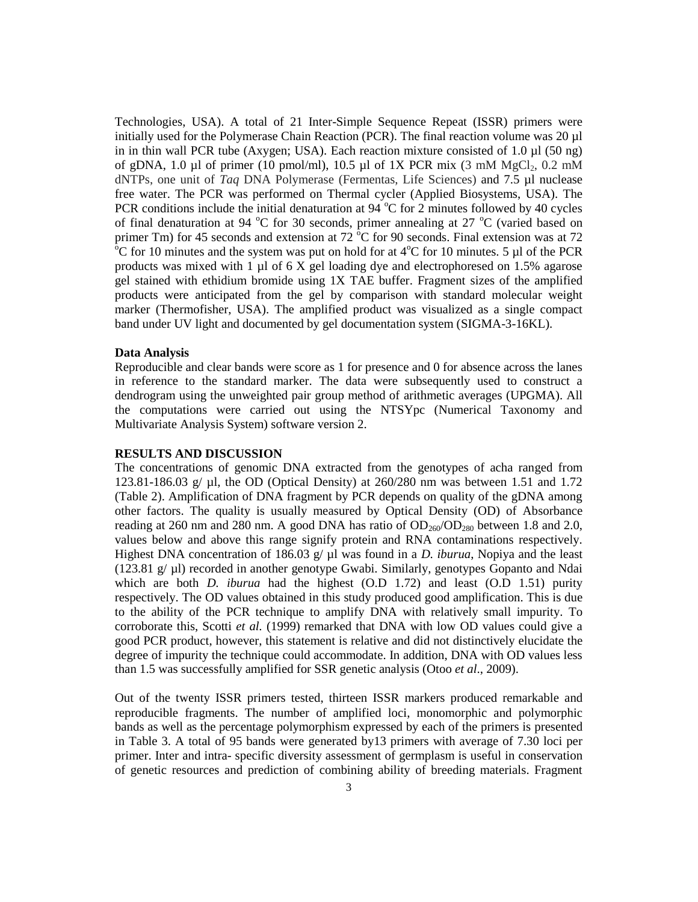Technologies, USA). A total of 21 Inter-Simple Sequence Repeat (ISSR) primers were initially used for the Polymerase Chain Reaction (PCR). The final reaction volume was  $20 \mu$ l in in thin wall PCR tube (Axygen; USA). Each reaction mixture consisted of 1.0 µl (50 ng) of gDNA, 1.0 µl of primer (10 pmol/ml), 10.5 µl of 1X PCR mix (3 mM MgCl<sub>2</sub>, 0.2 mM dNTPs, one unit of *Taq* DNA Polymerase (Fermentas, Life Sciences) and 7.5 µl nuclease free water. The PCR was performed on Thermal cycler (Applied Biosystems, USA). The PCR conditions include the initial denaturation at  $94^{\circ}$ C for 2 minutes followed by 40 cycles of final denaturation at 94  $^{\circ}$ C for 30 seconds, primer annealing at 27  $^{\circ}$ C (varied based on primer Tm) for 45 seconds and extension at 72  $\mathrm{^{\circ}C}$  for 90 seconds. Final extension was at 72  $\rm{^{\circ}C}$  for 10 minutes and the system was put on hold for at 4 $\rm{^{\circ}C}$  for 10 minutes. 5 µl of the PCR products was mixed with  $1 \mu$ l of 6 X gel loading dye and electrophoresed on 1.5% agarose gel stained with ethidium bromide using 1X TAE buffer. Fragment sizes of the amplified products were anticipated from the gel by comparison with standard molecular weight marker (Thermofisher, USA). The amplified product was visualized as a single compact band under UV light and documented by gel documentation system (SIGMA-3-16KL).

## **Data Analysis**

Reproducible and clear bands were score as 1 for presence and 0 for absence across the lanes in reference to the standard marker. The data were subsequently used to construct a dendrogram using the unweighted pair group method of arithmetic averages (UPGMA). All the computations were carried out using the NTSYpc (Numerical Taxonomy and Multivariate Analysis System) software version 2.

#### **RESULTS AND DISCUSSION**

The concentrations of genomic DNA extracted from the genotypes of acha ranged from 123.81-186.03 g/ µl, the OD (Optical Density) at 260/280 nm was between 1.51 and 1.72 (Table 2). Amplification of DNA fragment by PCR depends on quality of the gDNA among other factors. The quality is usually measured by Optical Density (OD) of Absorbance reading at 260 nm and 280 nm. A good DNA has ratio of  $OD<sub>260</sub>/OD<sub>280</sub>$  between 1.8 and 2.0, values below and above this range signify protein and RNA contaminations respectively. Highest DNA concentration of 186.03 g/  $\mu$ l was found in a *D. iburua*, Nopiya and the least (123.81  $g/\mu$ ) recorded in another genotype Gwabi. Similarly, genotypes Gopanto and Ndai which are both *D. iburua* had the highest (O.D 1.72) and least (O.D 1.51) purity respectively. The OD values obtained in this study produced good amplification. This is due to the ability of the PCR technique to amplify DNA with relatively small impurity. To corroborate this, Scotti *et al.* (1999) remarked that DNA with low OD values could give a good PCR product, however, this statement is relative and did not distinctively elucidate the degree of impurity the technique could accommodate. In addition, DNA with OD values less than 1.5 was successfully amplified for SSR genetic analysis (Otoo *et al*., 2009).

Out of the twenty ISSR primers tested, thirteen ISSR markers produced remarkable and reproducible fragments. The number of amplified loci, monomorphic and polymorphic bands as well as the percentage polymorphism expressed by each of the primers is presented in Table 3. A total of 95 bands were generated by13 primers with average of 7.30 loci per primer. Inter and intra- specific diversity assessment of germplasm is useful in conservation of genetic resources and prediction of combining ability of breeding materials. Fragment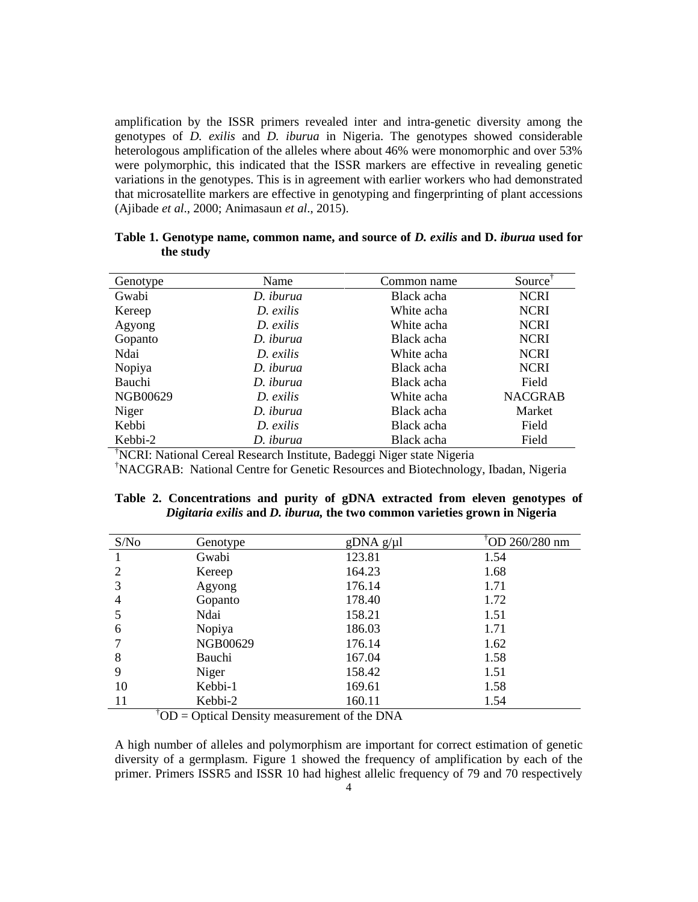amplification by the ISSR primers revealed inter and intra-genetic diversity among the genotypes of *D. exilis* and *D. iburua* in Nigeria. The genotypes showed considerable heterologous amplification of the alleles where about 46% were monomorphic and over 53% were polymorphic, this indicated that the ISSR markers are effective in revealing genetic variations in the genotypes. This is in agreement with earlier workers who had demonstrated that microsatellite markers are effective in genotyping and fingerprinting of plant accessions (Ajibade *et al*., 2000; Animasaun *et al*., 2015).

| Genotype | Name      | Common name | Source <sup>†</sup> |
|----------|-----------|-------------|---------------------|
| Gwabi    | D. iburua | Black acha  | <b>NCRI</b>         |
| Kereep   | D. exilis | White acha  | <b>NCRI</b>         |
| Agyong   | D. exilis | White acha  | <b>NCRI</b>         |
| Gopanto  | D. iburua | Black acha  | <b>NCRI</b>         |
| Ndai     | D. exilis | White acha  | <b>NCRI</b>         |
| Nopiya   | D. iburua | Black acha  | <b>NCRI</b>         |
| Bauchi   | D. iburua | Black acha  | Field               |
| NGB00629 | D. exilis | White acha  | <b>NACGRAB</b>      |
| Niger    | D. iburua | Black acha  | Market              |
| Kebbi    | D. exilis | Black acha  | Field               |
| Kebbi-2  | D. iburua | Black acha  | Field               |

**Table 1. Genotype name, common name, and source of** *D. exilis* **and D.** *iburua* **used for the study**

†NCRI: National Cereal Research Institute, Badeggi Niger state Nigeria

†NACGRAB: National Centre for Genetic Resources and Biotechnology, Ibadan, Nigeria

|  | Table 2. Concentrations and purity of gDNA extracted from eleven genotypes of |  |  |  |  |  |
|--|-------------------------------------------------------------------------------|--|--|--|--|--|
|  | Digitaria exilis and D. iburua, the two common varieties grown in Nigeria     |  |  |  |  |  |

| S/No | Genotype | gDNA g/µl | <sup>†</sup> OD 260/280 nm |
|------|----------|-----------|----------------------------|
|      | Gwabi    | 123.81    | 1.54                       |
|      | Kereep   | 164.23    | 1.68                       |
| 3    | Agyong   | 176.14    | 1.71                       |
| 4    | Gopanto  | 178.40    | 1.72                       |
| 5    | Ndai     | 158.21    | 1.51                       |
| 6    | Nopiya   | 186.03    | 1.71                       |
|      | NGB00629 | 176.14    | 1.62                       |
| 8    | Bauchi   | 167.04    | 1.58                       |
| 9    | Niger    | 158.42    | 1.51                       |
| 10   | Kebbi-1  | 169.61    | 1.58                       |
| 11   | Kebbi-2  | 160.11    | 1.54                       |

<sup>†</sup>OD = Optical Density measurement of the DNA

A high number of alleles and polymorphism are important for correct estimation of genetic diversity of a germplasm. Figure 1 showed the frequency of amplification by each of the primer. Primers ISSR5 and ISSR 10 had highest allelic frequency of 79 and 70 respectively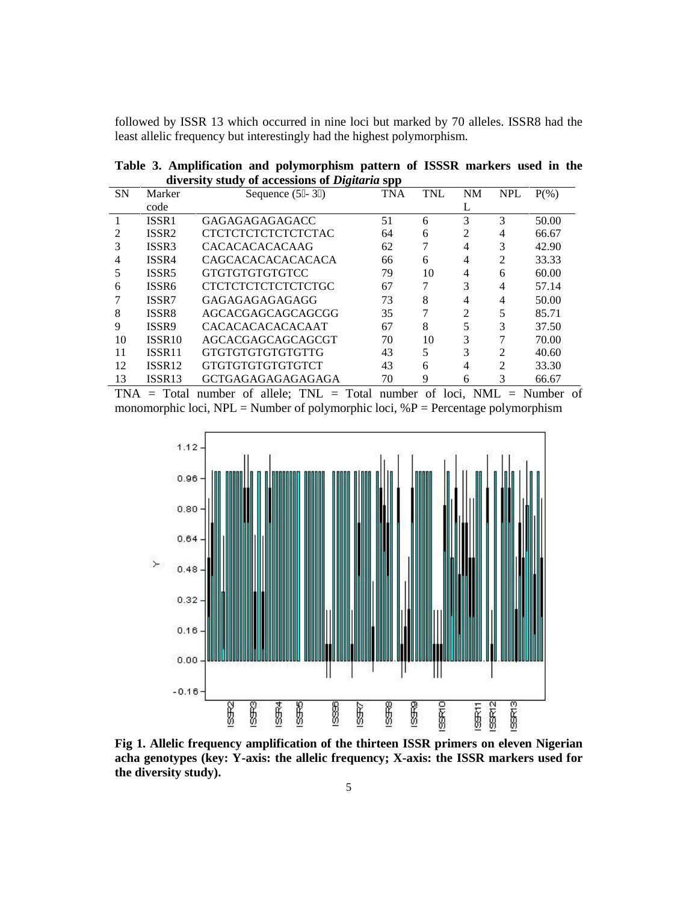followed by ISSR 13 which occurred in nine loci but marked by 70 alleles. ISSR8 had the least allelic frequency but interestingly had the highest polymorphism.

|                                                       |  |  | Table 3. Amplification and polymorphism pattern of ISSSR markers used in the |  |  |  |  |  |  |  |
|-------------------------------------------------------|--|--|------------------------------------------------------------------------------|--|--|--|--|--|--|--|
| diversity study of accessions of <i>Digitaria</i> spp |  |  |                                                                              |  |  |  |  |  |  |  |

| <b>SN</b> | Marker             | Sequence $(5 - 3)$        | <b>TNA</b> | <b>TNL</b> | <b>NM</b>      | <b>NPL</b>     | $P(\% )$ |
|-----------|--------------------|---------------------------|------------|------------|----------------|----------------|----------|
|           | code               |                           |            |            | L              |                |          |
|           | ISSR1              | <b>GAGAGAGAGAGACC</b>     | 51         | 6          | 3              | 3              | 50.00    |
| 2         | ISSR <sub>2</sub>  | <b>CTCTCTCTCTCTCTCTAC</b> | 64         | 6          | 2              | 4              | 66.67    |
| 3         | ISSR3              | <b>CACACACACACAAG</b>     | 62         |            | 4              | 3              | 42.90    |
| 4         | ISSR4              | <b>CAGCACACACACACACA</b>  | 66         | 6          | 4              | $\mathfrak{D}$ | 33.33    |
|           | ISSR <sub>5</sub>  | <b>GTGTGTGTGTGTCC</b>     | 79         | 10         | 4              | 6              | 60.00    |
| 6         | ISSR6              | <b>CTCTCTCTCTCTCTCTGC</b> | 67         |            | 3              | 4              | 57.14    |
|           | ISSR7              | GAGAGAGAGAGAGG            | 73         | 8          | 4              | 4              | 50.00    |
| 8         | <b>ISSR8</b>       | AGCACGAGCAGCAGCGG         | 35         |            | $\mathfrak{D}$ | 5              | 85.71    |
| 9         | ISSR9              | <b>CACACACACACACAAT</b>   | 67         | 8          |                | 3              | 37.50    |
| 10        | ISSR <sub>10</sub> | AGCACGAGCAGCAGCGT         | 70         | 10         | 3              |                | 70.00    |
| 11        | ISSR <sub>11</sub> | GTGTGTGTGTGTGTTG          | 43         | 5          | 3              | ↑              | 40.60    |
| 12        | <b>ISSR12</b>      | GTGTGTGTGTGTGTCT          | 43         | 6          | 4              | $\mathfrak{D}$ | 33.30    |
| 13        | ISSR <sub>13</sub> | <b>GCTGAGAGAGAGAGAGA</b>  | 70         | 9          | 6              | 3              | 66.67    |

 $TNA$  = Total number of allele;  $TNL$  = Total number of loci,  $NML$  = Number of monomorphic loci, NPL = Number of polymorphic loci,  $\%$  P = Percentage polymorphism



**Fig 1. Allelic frequency amplification of the thirteen ISSR primers on eleven Nigerian acha genotypes (key: Y-axis: the allelic frequency; X-axis: the ISSR markers used for the diversity study).**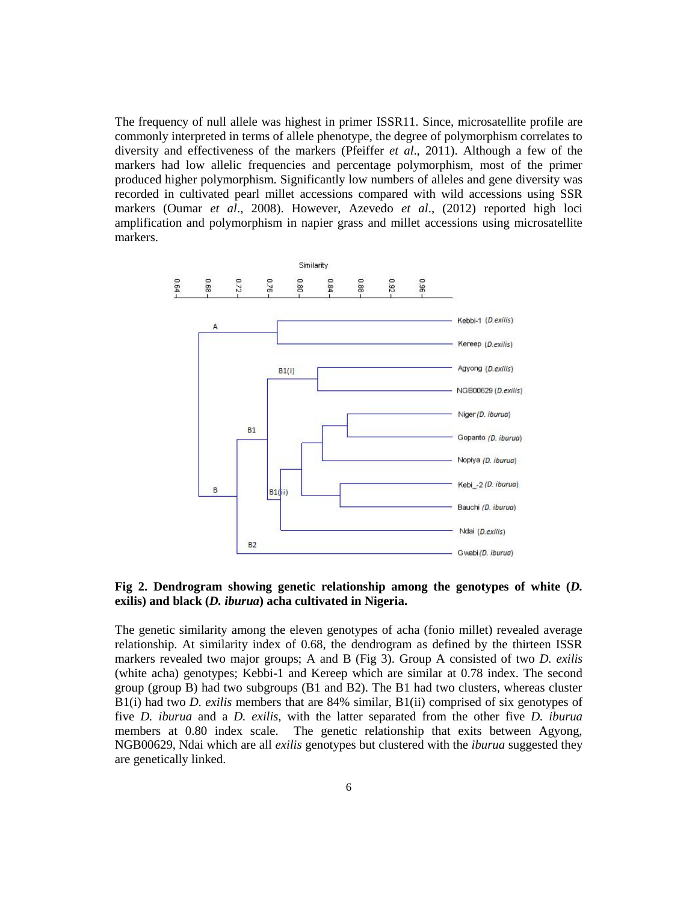The frequency of null allele was highest in primer ISSR11. Since, microsatellite profile are commonly interpreted in terms of allele phenotype, the degree of polymorphism correlates to diversity and effectiveness of the markers (Pfeiffer *et al*., 2011). Although a few of the markers had low allelic frequencies and percentage polymorphism, most of the primer produced higher polymorphism. Significantly low numbers of alleles and gene diversity was recorded in cultivated pearl millet accessions compared with wild accessions using SSR markers (Oumar *et al*., 2008). However, Azevedo *et al*., (2012) reported high loci amplification and polymorphism in napier grass and millet accessions using microsatellite markers.



### **Fig 2. Dendrogram showing genetic relationship among the genotypes of white (***D.* **exilis) and black (***D. iburua***) acha cultivated in Nigeria.**

The genetic similarity among the eleven genotypes of acha (fonio millet) revealed average relationship. At similarity index of 0.68, the dendrogram as defined by the thirteen ISSR markers revealed two major groups; A and B (Fig 3). Group A consisted of two *D. exilis* (white acha) genotypes; Kebbi-1 and Kereep which are similar at 0.78 index. The second group (group B) had two subgroups (B1 and B2). The B1 had two clusters, whereas cluster B1(i) had two *D. exilis* members that are 84% similar, B1(ii) comprised of six genotypes of five *D. iburua* and a *D. exilis,* with the latter separated from the other five *D. iburua* members at 0.80 index scale. The genetic relationship that exits between Agyong, NGB00629, Ndai which are all *exilis* genotypes but clustered with the *iburua* suggested they are genetically linked.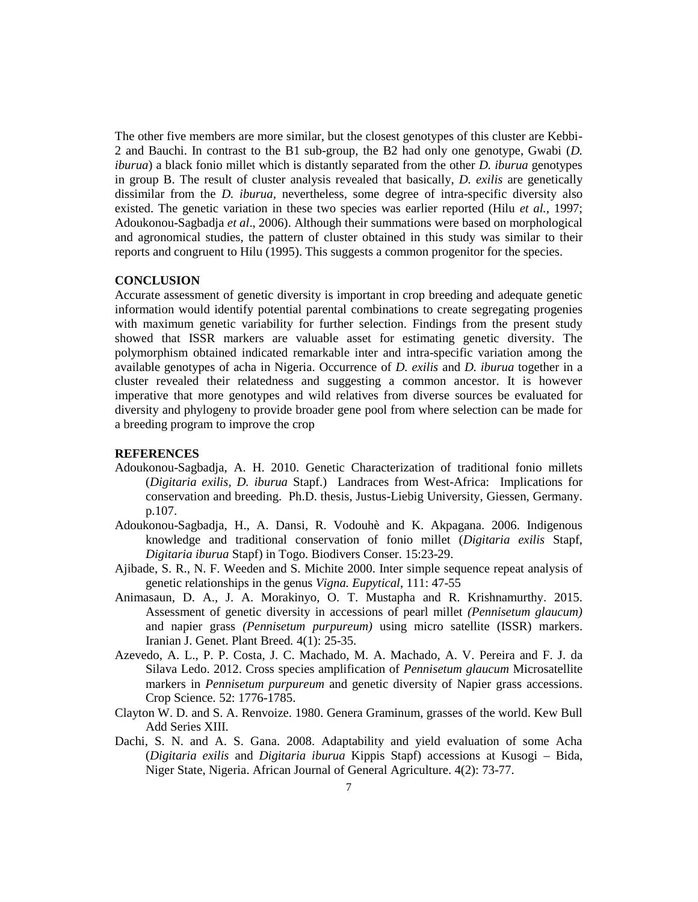The other five members are more similar, but the closest genotypes of this cluster are Kebbi- 2 and Bauchi. In contrast to the B1 sub-group, the B2 had only one genotype, Gwabi (*D. iburua*) a black fonio millet which is distantly separated from the other *D. iburua* genotypes in group B. The result of cluster analysis revealed that basically, *D. exilis* are genetically dissimilar from the *D. iburua,* nevertheless, some degree of intra-specific diversity also existed. The genetic variation in these two species was earlier reported (Hilu *et al.,* 1997; Adoukonou-Sagbadja *et al*., 2006). Although their summations were based on morphological and agronomical studies, the pattern of cluster obtained in this study was similar to their reports and congruent to Hilu (1995). This suggests a common progenitor for the species.

#### **CONCLUSION**

Accurate assessment of genetic diversity is important in crop breeding and adequate genetic information would identify potential parental combinations to create segregating progenies with maximum genetic variability for further selection. Findings from the present study showed that ISSR markers are valuable asset for estimating genetic diversity. The polymorphism obtained indicated remarkable inter and intra-specific variation among the available genotypes of acha in Nigeria. Occurrence of *D. exilis* and *D. iburua* together in a cluster revealed their relatedness and suggesting a common ancestor. It is however imperative that more genotypes and wild relatives from diverse sources be evaluated for diversity and phylogeny to provide broader gene pool from where selection can be made for a breeding program to improve the crop

#### **REFERENCES**

- Adoukonou-Sagbadja, A. H. 2010. Genetic Characterization of traditional fonio millets (*Digitaria exilis, D. iburua* Stapf.) Landraces from West-Africa: Implications for conservation and breeding. Ph.D. thesis, Justus-Liebig University, Giessen, Germany. p.107.
- Adoukonou-Sagbadja, H., A. Dansi, R. Vodouhè and K. Akpagana. 2006. Indigenous knowledge and traditional conservation of fonio millet (*Digitaria exilis* Stapf, *Digitaria iburua* Stapf) in Togo. Biodivers Conser. 15:23-29.
- Ajibade, S. R., N. F. Weeden and S. Michite 2000. Inter simple sequence repeat analysis of genetic relationships in the genus *Vigna. Eupytical*, 111: 47-55
- Animasaun, D. A., J. A. Morakinyo, O. T. Mustapha and R. Krishnamurthy. 2015. Assessment of genetic diversity in accessions of pearl millet *(Pennisetum glaucum)* and napier grass *(Pennisetum purpureum)* using micro satellite (ISSR) markers. Iranian J. Genet. Plant Breed*.* 4(1): 25-35.
- Azevedo, A. L., P. P. Costa, J. C. Machado, M. A. Machado, A. V. Pereira and F. J. da Silava Ledo. 2012. Cross species amplification of *Pennisetum glaucum* Microsatellite markers in *Pennisetum purpureum* and genetic diversity of Napier grass accessions. Crop Science*.* 52: 1776-1785.
- Clayton W. D. and S. A. Renvoize. 1980. Genera Graminum, grasses of the world. Kew Bull Add Series XIII.
- Dachi, S. N. and A. S. Gana. 2008. Adaptability and yield evaluation of some Acha (*Digitaria exilis* and *Digitaria iburua* Kippis Stapf) accessions at Kusogi – Bida, Niger State, Nigeria. African Journal of General Agriculture. 4(2): 73-77.